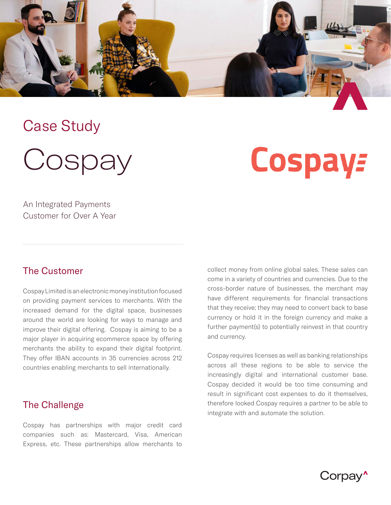

## Case Study

**Cospay** 

# **Cospay:**

An Integrated Payments Customer for Over A Year

#### The Customer

Cospay Limited is an electronic money institution focused on providing payment services to merchants. With the increased demand for the digital space, businesses around the world are looking for ways to manage and improve their digital offering. Cospay is aiming to be a major player in acquiring ecommerce space by offering merchants the ability to expand their digital footprint. They offer IBAN accounts in 35 currencies across 212 countries enabling merchants to sell internationally.

#### The Challenge

Cospay has partnerships with major credit card companies such as: Mastercard, Visa, American Express, etc. These partnerships allow merchants to collect money from online global sales. These sales can come in a variety of countries and currencies. Due to the cross-border nature of businesses, the merchant may have different requirements for financial transactions that they receive; they may need to convert back to base currency or hold it in the foreign currency and make a further payment(s) to potentially reinvest in that country and currency.

Cospay requires licenses as well as banking relationships across all these regions to be able to service the increasingly digital and international customer base. Cospay decided it would be too time consuming and result in significant cost expenses to do it themselves, therefore looked Cospay requires a partner to be able to integrate with and automate the solution.